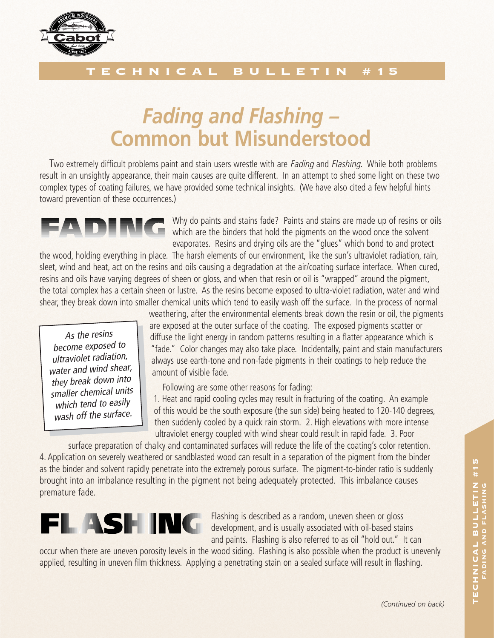

## ECHNICAL BULLETIN #15

## *Fading and Flashing –* **Common but Misunderstood**

Two extremely difficult problems paint and stain users wrestle with are *Fading* and *Flashing*. While both problems result in an unsightly appearance, their main causes are quite different. In an attempt to shed some light on these two complex types of coating failures, we have provided some technical insights. (We have also cited a few helpful hints toward prevention of these occurrences.)

Why do paints and stains fade? Paints and stains are made up of resins or oils which are the binders that hold the pigments on the wood once the solvent evaporates. Resins and drying oils are the "glues" which bond to and protect

the wood, holding everything in place. The harsh elements of our environment, like the sun's ultraviolet radiation, rain, sleet, wind and heat, act on the resins and oils causing a degradation at the air/coating surface interface. When cured, resins and oils have varying degrees of sheen or gloss, and when that resin or oil is "wrapped" around the pigment, the total complex has a certain sheen or lustre. As the resins become exposed to ultra-violet radiation, water and wind shear, they break down into smaller chemical units which tend to easily wash off the surface. In the process of normal

As the resins become exposed to ultraviolet radiation, water and wind shear, they break down into smaller chemical units which tend to easily wash off the surface. weathering, after the environmental elements break down the resin or oil, the pigments are exposed at the outer surface of the coating. The exposed pigments scatter or diffuse the light energy in random patterns resulting in a flatter appearance which is "fade." Color changes may also take place. Incidentally, paint and stain manufacturers always use earth-tone and non-fade pigments in their coatings to help reduce the amount of visible fade.

Following are some other reasons for fading:

1. Heat and rapid cooling cycles may result in fracturing of the coating. An example of this would be the south exposure (the sun side) being heated to 120-140 degrees, then suddenly cooled by a quick rain storm. 2. High elevations with more intense ultraviolet energy coupled with wind shear could result in rapid fade. 3. Poor

surface preparation of chalky and contaminated surfaces will reduce the life of the coating's color retention. 4. Application on severely weathered or sandblasted wood can result in a separation of the pigment from the binder as the binder and solvent rapidly penetrate into the extremely porous surface. The pigment-to-binder ratio is suddenly brought into an imbalance resulting in the pigment not being adequately protected. This imbalance causes premature fade.



Flashing is described as a random, uneven sheen or gloss development, and is usually associated with oil-based stains and paints. Flashing is also referred to as oil "hold out." It can

occur when there are uneven porosity levels in the wood siding. Flashing is also possible when the product is unevenly applied, resulting in uneven film thickness. Applying a penetrating stain on a sealed surface will result in flashing.